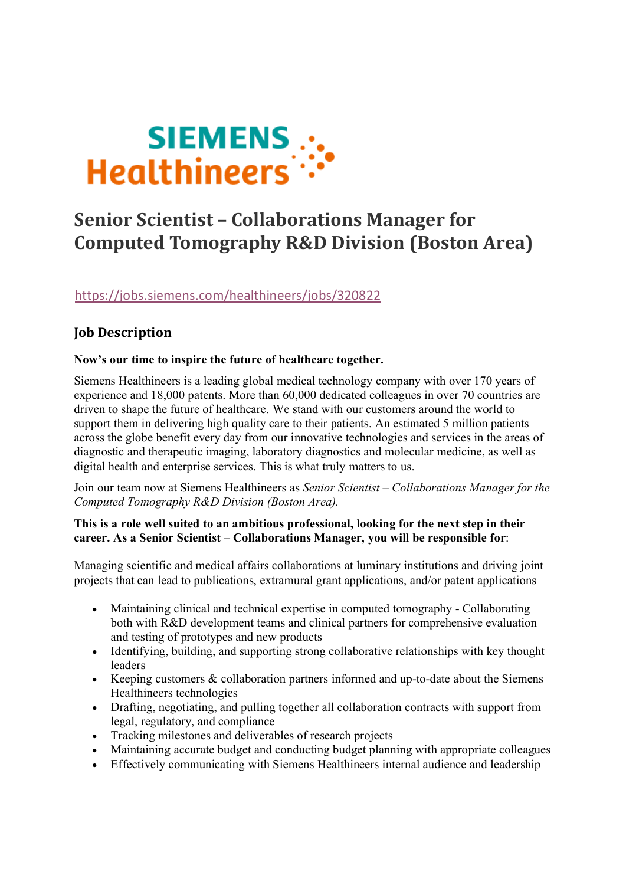

# **Senior Scientist – Collaborations Manager for Computed Tomography R&D Division (Boston Area)**

https://jobs.siemens.com/healthineers/jobs/320822

# **Job Description**

# **Now's our time to inspire the future of healthcare together.**

Siemens Healthineers is a leading global medical technology company with over 170 years of experience and 18,000 patents. More than 60,000 dedicated colleagues in over 70 countries are driven to shape the future of healthcare. We stand with our customers around the world to support them in delivering high quality care to their patients. An estimated 5 million patients across the globe benefit every day from our innovative technologies and services in the areas of diagnostic and therapeutic imaging, laboratory diagnostics and molecular medicine, as well as digital health and enterprise services. This is what truly matters to us.

Join our team now at Siemens Healthineers as *Senior Scientist – Collaborations Manager for the Computed Tomography R&D Division (Boston Area).*

#### **This is a role well suited to an ambitious professional, looking for the next step in their career. As a Senior Scientist – Collaborations Manager, you will be responsible for**:

Managing scientific and medical affairs collaborations at luminary institutions and driving joint projects that can lead to publications, extramural grant applications, and/or patent applications

- Maintaining clinical and technical expertise in computed tomography Collaborating both with R&D development teams and clinical partners for comprehensive evaluation and testing of prototypes and new products
- Identifying, building, and supporting strong collaborative relationships with key thought leaders
- Keeping customers & collaboration partners informed and up-to-date about the Siemens Healthineers technologies
- Drafting, negotiating, and pulling together all collaboration contracts with support from legal, regulatory, and compliance
- Tracking milestones and deliverables of research projects
- Maintaining accurate budget and conducting budget planning with appropriate colleagues
- Effectively communicating with Siemens Healthineers internal audience and leadership